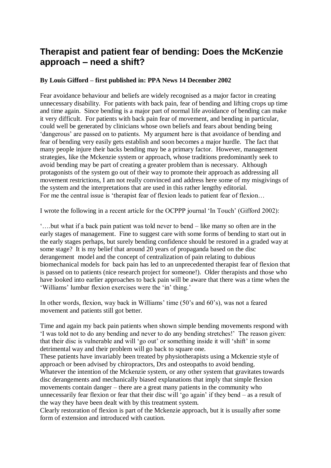# **Therapist and patient fear of bending: Does the McKenzie approach – need a shift?**

#### **By Louis Gifford – first published in: PPA News 14 December 2002**

Fear avoidance behaviour and beliefs are widely recognised as a major factor in creating unnecessary disability. For patients with back pain, fear of bending and lifting crops up time and time again. Since bending is a major part of normal life avoidance of bending can make it very difficult. For patients with back pain fear of movement, and bending in particular, could well be generated by clinicians whose own beliefs and fears about bending being 'dangerous' are passed on to patients. My argument here is that avoidance of bending and fear of bending very easily gets establish and soon becomes a major hurdle. The fact that many people injure their backs bending may be a primary factor. However, management strategies, like the Mckenzie system or approach, whose traditions predominantly seek to avoid bending may be part of creating a greater problem than is necessary. Although protagonists of the system go out of their way to promote their approach as addressing all movement restrictions, I am not really convinced and address here some of my misgivings of the system and the interpretations that are used in this rather lengthy editorial. For me the central issue is 'therapist fear of flexion leads to patient fear of flexion…

I wrote the following in a recent article for the OCPPP journal 'In Touch' (Gifford 2002):

'….but what if a back pain patient was told never to bend – like many so often are in the early stages of management. Fine to suggest care with some forms of bending to start out in the early stages perhaps, but surely bending confidence should be restored in a graded way at some stage? It is my belief that around 20 years of propaganda based on the disc derangement model and the concept of centralization of pain relating to dubious biomechanical models for back pain has led to an unprecedented therapist fear of flexion that is passed on to patients (nice research project for someone!). Older therapists and those who have looked into earlier approaches to back pain will be aware that there was a time when the 'Williams' lumbar flexion exercises were the 'in' thing.'

In other words, flexion, way back in Williams' time (50's and 60's), was not a feared movement and patients still got better.

Time and again my back pain patients when shown simple bending movements respond with 'I was told not to do any bending and never to do any bending stretches!' The reason given: that their disc is vulnerable and will 'go out' or something inside it will 'shift' in some detrimental way and their problem will go back to square one.

These patients have invariably been treated by physiotherapists using a Mckenzie style of approach or been advised by chiropractors, Drs and osteopaths to avoid bending. Whatever the intention of the Mckenzie system, or any other system that gravitates towards disc derangements and mechanically biased explanations that imply that simple flexion movements contain danger – there are a great many patients in the community who unnecessarily fear flexion or fear that their disc will 'go again' if they bend – as a result of the way they have been dealt with by this treatment system.

Clearly restoration of flexion is part of the Mckenzie approach, but it is usually after some form of extension and introduced with caution.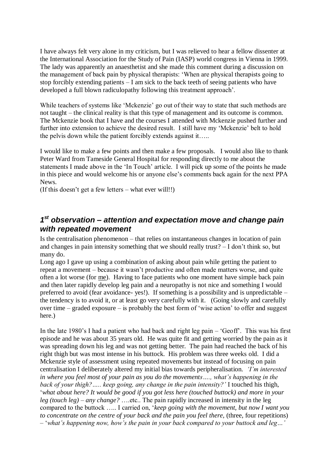I have always felt very alone in my criticism, but I was relieved to hear a fellow dissenter at the International Association for the Study of Pain (IASP) world congress in Vienna in 1999. The lady was apparently an anaesthetist and she made this comment during a discussion on the management of back pain by physical therapists: 'When are physical therapists going to stop forcibly extending patients – I am sick to the back teeth of seeing patients who have developed a full blown radiculopathy following this treatment approach'.

While teachers of systems like 'Mckenzie' go out of their way to state that such methods are not taught – the clinical reality is that this type of management and its outcome is common. The Mckenzie book that I have and the courses I attended with Mckenzie pushed further and further into extension to achieve the desired result. I still have my 'Mckenzie' belt to hold the pelvis down while the patient forcibly extends against it…..

I would like to make a few points and then make a few proposals. I would also like to thank Peter Ward from Tameside General Hospital for responding directly to me about the statements I made above in the 'In Touch' article. I will pick up some of the points he made in this piece and would welcome his or anyone else's comments back again for the next PPA News.

(If this doesn't get a few letters – what ever will!!)

### *1 st observation – attention and expectation move and change pain with repeated movement*

Is the centralisation phenomenon – that relies on instantaneous changes in location of pain and changes in pain intensity something that we should really trust? – I don't think so, but many do.

Long ago I gave up using a combination of asking about pain while getting the patient to repeat a movement – because it wasn't productive and often made matters worse, and quite often a lot worse (for me). Having to face patients who one moment have simple back pain and then later rapidly develop leg pain and a neuropathy is not nice and something I would preferred to avoid (fear avoidance- yes!). If something is a possibility and is unpredictable – the tendency is to avoid it, or at least go very carefully with it. (Going slowly and carefully over time – graded exposure – is probably the best form of 'wise action' to offer and suggest here.)

In the late 1980's I had a patient who had back and right leg pain – 'Geoff'. This was his first episode and he was about 35 years old. He was quite fit and getting worried by the pain as it was spreading down his leg and was not getting better. The pain had reached the back of his right thigh but was most intense in his buttock. His problem was three weeks old. I did a Mckenzie style of assessment using repeated movements but instead of focusing on pain centralisation I deliberately altered my initial bias towards peripheralisation. *'I'm interested in where you feel most of your pain as you do the movements…., what's happening in the back of your thigh?….. keep going, any change in the pain intensity?'* I touched his thigh, '*what about here? It would be good if you got less here (touched buttock) and more in your leg (touch leg) – any change?* ….etc.. The pain rapidly increased in intensity in the leg compared to the buttock ….. I carried on, '*keep going with the movement, but now I want you to concentrate on the centre of your back and the pain you feel there,* (three, four repetitions) – '*what's happening now, how's the pain in your back compared to your buttock and leg…'*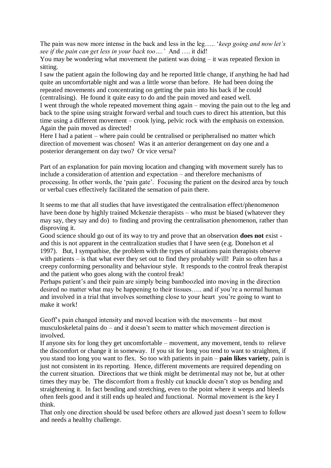The pain was now more intense in the back and less in the leg….. '*keep going and now let's see if the pain can get less in your back too….'* And …. it did!

You may be wondering what movement the patient was doing – it was repeated flexion in sitting.

I saw the patient again the following day and he reported little change, if anything he had had quite an uncomfortable night and was a little worse than before. He had been doing the repeated movements and concentrating on getting the pain into his back if he could (centralising). He found it quite easy to do and the pain moved and eased well.

I went through the whole repeated movement thing again – moving the pain out to the leg and back to the spine using straight forward verbal and touch cues to direct his attention, but this time using a different movement – crook lying, pelvic rock with the emphasis on extension. Again the pain moved as directed!

Here I had a patient – where pain could be centralised or peripheralised no matter which direction of movement was chosen! Was it an anterior derangement on day one and a posterior derangement on day two? Or vice versa?

Part of an explanation for pain moving location and changing with movement surely has to include a consideration of attention and expectation – and therefore mechanisms of processing. In other words, the 'pain gate'. Focusing the patient on the desired area by touch or verbal cues effectively facilitated the sensation of pain there.

It seems to me that all studies that have investigated the centralisation effect/phenomenon have been done by highly trained Mckenzie therapists – who must be biased (whatever they may say, they say and do) to finding and proving the centralisation phenomenon, rather than disproving it.

Good science should go out of its way to try and prove that an observation **does not** exist and this is not apparent in the centralization studies that I have seen (e.g. Donelson et al 1997). But, I sympathise, the problem with the types of situations pain therapists observe with patients – is that what ever they set out to find they probably will! Pain so often has a creepy conforming personality and behaviour style. It responds to the control freak therapist and the patient who goes along with the control freak!

Perhaps patient's and their pain are simply being bamboozled into moving in the direction desired no matter what may be happening to their tissues….. and if you're a normal human and involved in a trial that involves something close to your heart you're going to want to make it work!

Geoff's pain changed intensity and moved location with the movements – but most musculoskeletal pains do – and it doesn't seem to matter which movement direction is involved.

If anyone sits for long they get uncomfortable – movement, any movement, tends to relieve the discomfort or change it in someway. If you sit for long you tend to want to straighten, if you stand too long you want to flex. So too with patients in pain – **pain likes variety**, pain is just not consistent in its reporting. Hence, different movements are required depending on the current situation. Directions that we think might be detrimental may not be, but at other times they may be. The discomfort from a freshly cut knuckle doesn't stop us bending and straightening it. In fact bending and stretching, even to the point where it weeps and bleeds often feels good and it still ends up healed and functional. Normal movement is the key I think.

That only one direction should be used before others are allowed just doesn't seem to follow and needs a healthy challenge.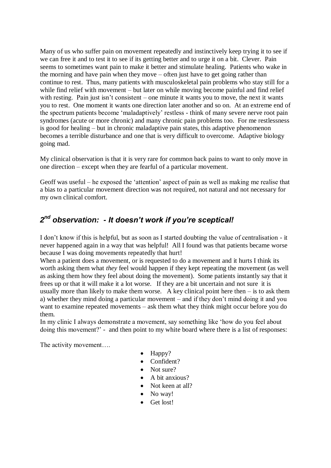Many of us who suffer pain on movement repeatedly and instinctively keep trying it to see if we can free it and to test it to see if its getting better and to urge it on a bit. Clever. Pain seems to sometimes want pain to make it better and stimulate healing. Patients who wake in the morning and have pain when they move – often just have to get going rather than continue to rest. Thus, many patients with musculoskeletal pain problems who stay still for a while find relief with movement – but later on while moving become painful and find relief with resting. Pain just isn't consistent – one minute it wants you to move, the next it wants you to rest. One moment it wants one direction later another and so on. At an extreme end of the spectrum patients become 'maladaptively' restless - think of many severe nerve root pain syndromes (acute or more chronic) and many chronic pain problems too. For me restlessness is good for healing – but in chronic maladaptive pain states, this adaptive phenomenon becomes a terrible disturbance and one that is very difficult to overcome. Adaptive biology going mad.

My clinical observation is that it is very rare for common back pains to want to only move in one direction – except when they are fearful of a particular movement.

Geoff was useful – he exposed the 'attention' aspect of pain as well as making me realise that a bias to a particular movement direction was not required, not natural and not necessary for my own clinical comfort.

## *2 nd observation: - It doesn't work if you're sceptical!*

I don't know if this is helpful, but as soon as I started doubting the value of centralisation - it never happened again in a way that was helpful! All I found was that patients became worse because I was doing movements repeatedly that hurt!

When a patient does a movement, or is requested to do a movement and it hurts I think its worth asking them what *they* feel would happen if they kept repeating the movement (as well as asking them how they feel about doing the movement). Some patients instantly say that it frees up or that it will make it a lot worse. If they are a bit uncertain and not sure it is usually more than likely to make them worse. A key clinical point here then  $-$  is to ask them a) whether they mind doing a particular movement – and if they don't mind doing it and you want to examine repeated movements – ask them what they think might occur before you do them.

In my clinic I always demonstrate a movement, say something like 'how do you feel about doing this movement?' - and then point to my white board where there is a list of responses:

The activity movement….

- Happy?
- Confident?
- $\bullet$  Not sure?
- A bit anxious?
- Not keen at all?
- No way!
- Get lost!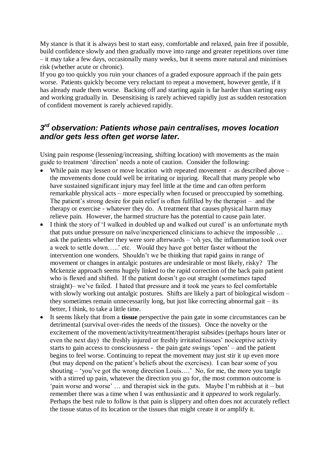My stance is that it is always best to start easy, comfortable and relaxed, pain free if possible, build confidence slowly and then gradually move into range and greater repetitions over time – it may take a few days, occasionally many weeks, but it seems more natural and minimises risk (whether acute or chronic).

If you go too quickly you ruin your chances of a graded exposure approach if the pain gets worse. Patients quickly become very reluctant to repeat a movement, however gentle, if it has already made them worse. Backing off and starting again is far harder than starting easy and working gradually in. Desensitising is rarely achieved rapidly just as sudden restoration of confident movement is rarely achieved rapidly.

### *3 rd observation: Patients whose pain centralises, moves location and/or gets less often get worse later.*

Using pain response (lessening/increasing, shifting location) with movements as the main guide to treatment 'direction' needs a note of caution. Consider the following:

- While pain may lessen or move location with repeated movement as described above the movements done could well be irritating or injuring. Recall that many people who have sustained significant injury may feel little at the time and can often perform remarkable physical acts – more especially when focused or preoccupied by something. The patient's strong desire for pain relief is often fulfilled by the therapist – and the therapy or exercise - whatever they do. A treatment that causes physical harm may relieve pain. However, the harmed structure has the potential to cause pain later.
- I think the story of 'I walked in doubled up and walked out cured' is an unfortunate myth that puts undue pressure on naïve/inexperienced clinicians to achieve the impossible … ask the patients whether they were sore afterwards – 'oh yes, the inflammation took over a week to settle down…..' etc. Would they have got better faster without the intervention one wonders. Shouldn't we be thinking that rapid gains in range of movement or changes in antalgic postures are undesirable or most likely, risky? The Mckenzie approach seems hugely linked to the rapid correction of the back pain patient who is flexed and shifted. If the patient doesn't go out straight (sometimes taped straight)– we've failed. I hated that pressure and it took me years to feel comfortable with slowly working out antalgic postures. Shifts are likely a part of biological wisdom – they sometimes remain unnecessarily long, but just like correcting abnormal gait – its better, I think, to take a little time.
- It seems likely that from a **tissue** perspective the pain gate in some circumstances can be detrimental (survival over-rides the needs of the tissues). Once the novelty or the excitement of the movement/activity/treatment/therapist subsides (perhaps hours later or even the next day) the freshly injured or freshly irritated tissues' nociceptive activity starts to gain access to consciousness - the pain gate swings 'open' – and the patient begins to feel worse. Continuing to repeat the movement may just stir it up even more (but may depend on the patient's beliefs about the exercises). I can hear some of you shouting – 'you've got the wrong direction Louis….' No, for me, the more you tangle with a stirred up pain, whatever the direction you go for, the most common outcome is 'pain worse and worse' … and therapist sick in the guts. Maybe I'm rubbish at it – but remember there was a time when I was enthusiastic and it *appeared* to work regularly. Perhaps the best rule to follow is that pain is slippery and often does not accurately reflect the tissue status of its location or the tissues that might create it or amplify it.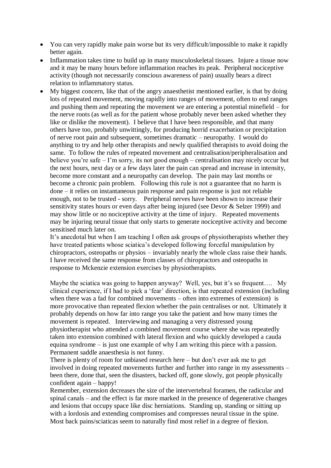- You can very rapidly make pain worse but its very difficult/impossible to make it rapidly better again.
- Inflammation takes time to build up in many musculoskeletal tissues. Injure a tissue now and it may be many hours before inflammation reaches its peak. Peripheral nociceptive activity (though not necessarily conscious awareness of pain) usually bears a direct relation to inflammatory status.
- My biggest concern, like that of the angry anaesthetist mentioned earlier, is that by doing lots of repeated movement, moving rapidly into ranges of movement, often to end ranges and pushing them and repeating the movement we are entering a potential minefield – for the nerve roots (as well as for the patient whose probably never been asked whether they like or dislike the movement). I believe that I have been responsible, and that many others have too, probably unwittingly, for producing horrid exacerbation or precipitation of nerve root pain and subsequent, sometimes dramatic – neuropathy. I would do anything to try and help other therapists and newly qualified therapists to avoid doing the same. To follow the rules of repeated movement and centralisation/peripheralisation and believe you're safe – I'm sorry, its not good enough – centralisation may nicely occur but the next hours, next day or a few days later the pain can spread and increase in intensity, become more constant and a neuropathy can develop. The pain may last months or become a chronic pain problem. Following this rule is not a guarantee that no harm is done – it relies on instantaneous pain response and pain response is just not reliable enough, not to be trusted - sorry. Peripheral nerves have been shown to increase their sensitivity states hours or even days after being injured (see Devor & Selzer 1999) and may show little or no nociceptive activity at the time of injury. Repeated movements may be injuring neural tissue that only starts to generate nociceptive activity and become sensitised much later on.

It's anecdotal but when I am teaching I often ask groups of physiotherapists whether they have treated patients whose sciatica's developed following forceful manipulation by chiropractors, osteopaths or physios – invariably nearly the whole class raise their hands. I have received the same response from classes of chiropractors and osteopaths in response to Mckenzie extension exercises by physiotherapists.

Maybe the sciatica was going to happen anyway? Well, yes, but it's so frequent.... My clinical experience, if I had to pick a 'fear' direction, is that repeated extension (including when there was a fad for combined movements – often into extremes of extension) is more provocative than repeated flexion whether the pain centralises or not. Ultimately it probably depends on how far into range you take the patient and how many times the movement is repeated. Interviewing and managing a very distressed young physiotherapist who attended a combined movement course where she was repeatedly taken into extension combined with lateral flexion and who quickly developed a cauda equina syndrome – is just one example of why I am writing this piece with a passion. Permanent saddle anaesthesia is not funny.

There is plenty of room for unbiased research here – but don't ever ask me to get involved in doing repeated movements further and further into range in my assessments – been there, done that, seen the disasters, backed off, gone slowly, got people physically confident again – happy!

Remember, extension decreases the size of the intervertebral foramen, the radicular and spinal canals – and the effect is far more marked in the presence of degenerative changes and lesions that occupy space like disc herniations. Standing up, standing or sitting up with a lordosis and extending compromises and compresses neural tissue in the spine. Most back pains/sciaticas seem to naturally find most relief in a degree of flexion.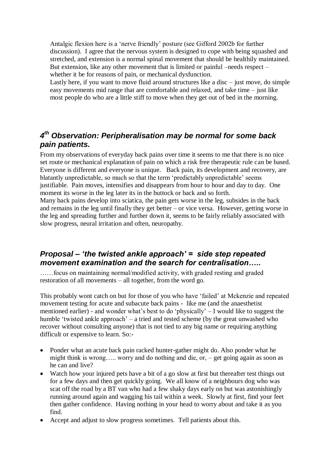Antalgic flexion here is a 'nerve friendly' posture (see Gifford 2002b for further discussion). I agree that the nervous system is designed to cope with being squashed and stretched, and extension is a normal spinal movement that should be healthily maintained. But extension, like any other movement that is limited or painful –needs respect – whether it be for reasons of pain, or mechanical dysfunction.

Lastly here, if you want to move fluid around structures like a disc  $-$  just move, do simple easy movements mid range that are comfortable and relaxed, and take time – just like most people do who are a little stiff to move when they get out of bed in the morning.

## *4 th Observation: Peripheralisation may be normal for some back pain patients.*

From my observations of everyday back pains over time it seems to me that there is no nice set route or mechanical explanation of pain on which a risk free therapeutic rule can be based. Everyone is different and everyone is unique. Back pain, its development and recovery, are blatantly unpredictable, so much so that the term 'predictably unpredictable' seems justifiable. Pain moves, intensifies and disappears from hour to hour and day to day. One moment its worse in the leg later its in the buttock or back and so forth. Many back pains develop into sciatica, the pain gets worse in the leg, subsides in the back and remains in the leg until finally they get better – or vice versa. However, getting worse in the leg and spreading further and further down it, seems to be fairly reliably associated with slow progress, neural irritation and often, neuropathy.

#### *Proposal – 'the twisted ankle approach' = side step repeated movement examination and the search for centralisation…..*

……focus on maintaining normal/modified activity, with graded resting and graded restoration of all movements – all together, from the word go.

This probably wont catch on but for those of you who have 'failed' at Mckenzie and repeated movement testing for acute and subacute back pains - like me (and the anaesthetist mentioned earlier) - and wonder what's best to do 'physically' – I would like to suggest the humble 'twisted ankle approach' – a tried and tested scheme (by the great unwashed who recover without consulting anyone) that is not tied to any big name or requiring anything difficult or expensive to learn. So:-

- Ponder what an acute back pain racked hunter-gather might do. Also ponder what he might think is wrong….. worry and do nothing and die, or, – get going again as soon as he can and live?
- Watch how your injured pets have a bit of a go slow at first but thereafter test things out for a few days and then get quickly going. We all know of a neighbours dog who was scat off the road by a BT van who had a few shaky days early on but was astonishingly running around again and wagging his tail within a week. Slowly at first, find your feet then gather confidence. Having nothing in your head to worry about and take it as you find.
- Accept and adjust to slow progress sometimes. Tell patients about this.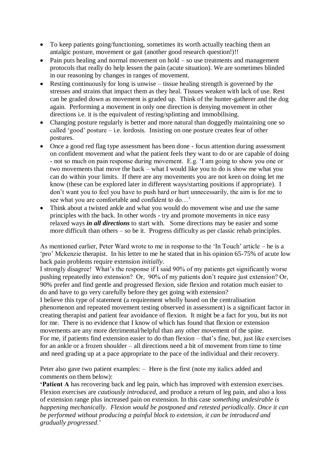- To keep patients going/functioning, sometimes its worth actually teaching them an antalgic posture, movement or gait (another good research question!)!!
- Pain puts healing and normal movement on hold so use treatments and management protocols that really do help lessen the pain (acute situation). We are sometimes blinded in our reasoning by changes in ranges of movement.
- Resting continuously for long is unwise tissue healing strength is governed by the stresses and strains that impact them as they heal. Tissues weaken with lack of use. Rest can be graded down as movement is graded up. Think of the hunter-gatherer and the dog again. Performing a movement in only one direction is denying movement in other directions i.e. it is the equivalent of resting/splinting and immobilising.
- Changing posture regularly is better and more natural than doggedly maintaining one so called 'good' posture – i.e. lordosis. Insisting on one posture creates fear of other postures.
- Once a good red flag type assessment has been done focus attention during assessment on confident movement and what the patient feels they want to do or are capable of doing - not so much on pain response during movement. E.g. 'I am going to show you one or two movements that move the back – what I would like you to do is show me what you can do within your limits. If there are any movements you are not keen on doing let me know (these can be explored later in different ways/starting positions if appropriate). I don't want you to feel you have to push hard or hurt unnecessarily, the aim is for me to see what you are comfortable and confident to do…'
- Think about a twisted ankle and what you would do movement wise and use the same principles with the back. In other words - try and promote movements in nice easy relaxed ways *in all directions* to start with. Some directions may be easier and some more difficult than others – so be it. Progress difficulty as per classic rehab principles.

As mentioned earlier, Peter Ward wrote to me in response to the 'In Touch' article – he is a 'pro' Mckenzie therapist. In his letter to me he stated that in his opinion 65-75% of acute low back pain problems require extension *initially*.

I strongly disagree! What's the response if I said 90% of my patients get significantly worse pushing repeatedly into extension? Or, 90% of my patients don't require just extension? Or, 90% prefer and find gentle and progressed flexion, side flexion and rotation much easier to do and have to go very carefully before they get going with extension?

I believe this type of statement (a requirement wholly based on the centralisation phenomenon and repeated movement testing observed in assessment) is a significant factor in creating therapist and patient fear avoidance of flexion. It might be a fact for you, but its not for me. There is no evidence that I know of which has found that flexion or extension movements are any more detrimental/helpful than any other movement of the spine. For me, if patients find extension easier to do than flexion – that's fine, but, just like exercises for an ankle or a frozen shoulder – all directions need a bit of movement from time to time and need grading up at a pace appropriate to the pace of the individual and their recovery.

Peter also gave two patient examples: – Here is the first (note my italics added and comments on them below):

**'Patient A** has recovering back and leg pain, which has improved with extension exercises. Flexion exercises are *cautiously introduced*, and produce a return of leg pain, and also a loss of extension range plus increased pain on extension. In this case *something undesirable is happening mechanically*. *Flexion would be postponed and retested periodically*. *Once it can be performed without producing a painful block to extension, it can be introduced and gradually progressed*.'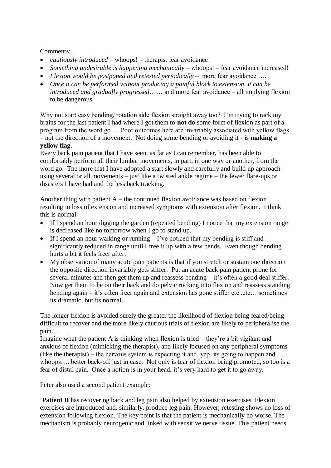#### Comments:

- *cautiously introduced* whoops! therapist fear avoidance!
- *Something undesirable is happening mechanically* whoops! fear avoidance increased!
- *Flexion would be postponed and retested periodically –* more fear avoidance ….
- *Once it can be performed without producing a painful block to extension, it can be introduced and gradually progressed*…… and more fear avoidance – all implying flexion to be dangerous.

Why not start easy bending, rotation side flexion straight away too? I'm trying to rack my brains for the last patient I had where I got them to **not do** some form of flexion as part of a program from the word go…. Poor outcomes here are invariably associated with yellow flags – not the direction of a movement. Not doing some bending or avoiding it - is **making a yellow flag.**

Every back pain patient that I have seen, as far as I can remember, has been able to comfortably perform all their lumbar movements, in part, in one way or another, from the word go. The more that I have adopted a start slowly and carefully and build up approach – using several or all movements – just like a twisted ankle regime – the fewer flare-ups or disasters I have had and the less back tracking.

Another thing with patient  $A$  – the continued flexion avoidance was based on flexion resulting in loss of extension and increased symptoms with extension after flexion. I think this is normal:

- If I spend an hour digging the garden (repeated bending) I notice that my extension range is decreased like no tomorrow when I go to stand up.
- If I spend an hour walking or running  $-$  I've noticed that my bending is stiff and significantly reduced in range until I free it up with a few bends. Even though bending hurts a bit it feels freer after.
- My observation of many acute pain patients is that if you stretch or sustain one direction the opposite direction invariably gets stiffer. Put an acute back pain patient prone for several minutes and then get them up and reassess bending – it's often a good deal stiffer. Now get them to lie on their back and do pelvic rocking into flexion and reassess standing bending again – it's often freer again and extension has gone stiffer etc... sometimes its dramatic, but its normal.

The longer flexion is avoided surely the greater the likelihood of flexion being feared/being difficult to recover and the more likely cautious trials of flexion are likely to peripheralise the pain….

Imagine what the patient A is thinking when flexion is tried – they're a bit vigilant and anxious of flexion (mimicking the therapist), and likely focused on any peripheral symptoms (like the therapist) – the nervous system is expecting it and, yep, its going to happen and  $\dots$ whoops…. better back-off just in case. Not only is fear of flexion being promoted, so too is a fear of distal pain. Once a notion is in your head, it's very hard to get it to go away.

Peter also used a second patient example:

'**Patient B** has recovering back and leg pain also helped by extension exercises. Flexion exercises are introduced and, similarly, produce leg pain. However, retesting shows no loss of extension following flexion. The key point is that the patient is mechanically no worse. The mechanism is probably neurogenic and linked with sensitive nerve tissue. This patient needs